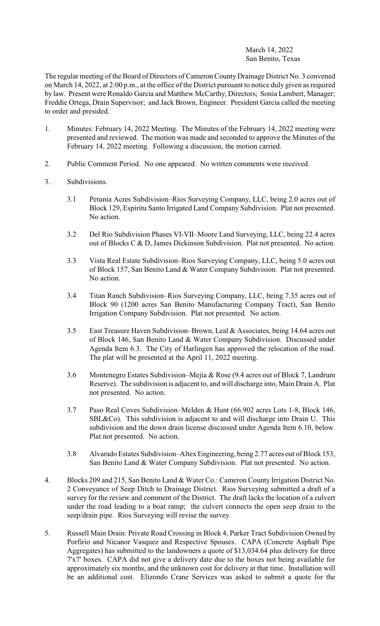## March 14, 2022 San Benito, Texas

The regular meeting of the Board of Directors of Cameron County Drainage District No. 3 convened on March 14, 2022, at 2:00 p.m., at the office of the District pursuant to notice duly given as required by law. Present were Ronaldo Garcia and Matthew McCarthy, Directors; Sonia Lambert, Manager; Freddie Ortega, Drain Supervisor; and Jack Brown, Engineer. President Garcia called the meeting to order and presided.

- 1. Minutes: February 14, 2022 Meeting. The Minutes of the February 14, 2022 meeting were presented and reviewed. The motion was made and seconded to approve the Minutes of the February 14, 2022 meeting. Following a discussion, the motion carried.
- 2. Public Comment Period. No one appeared. No written comments were received.
- 3. Subdivisions.
	- 3.1 Petunia Acres Subdivision–Rios Surveying Company, LLC, being 2.0 acres out of Block 129, Espiritu Santo Irrigated Land Company Subdivision. Plat not presented. No action.
	- 3.2 Del Rio Subdivision Phases VI-VII–Moore Land Surveying, LLC, being 22.4 acres out of Blocks C & D, James Dickinson Subdivision. Plat not presented. No action.
	- 3.3 Vista Real Estate Subdivision–Rios Surveying Company, LLC, being 5.0 acres out of Block 157, San Benito Land & Water Company Subdivision. Plat not presented. No action.
	- 3.4 Titan Ranch Subdivision–Rios Surveying Company, LLC, being 7.35 acres out of Block 90 (1200 acres San Benito Manufacturing Company Tract), San Benito Irrigation Company Subdivision. Plat not presented. No action.
	- 3.5 East Treasure Haven Subdivision–Brown, Leal & Associates, being 14.64 acres out of Block 146, San Benito Land & Water Company Subdivision. Discussed under Agenda Item 6.3. The City of Harlingen has approved the relocation of the road. The plat will be presented at the April 11, 2022 meeting.
	- 3.6 Montenegro Estates Subdivision–Mejia & Rose (9.4 acres out of Block 7, Landrum Reserve). The subdivision is adjacent to, and will discharge into, Main Drain A. Plat not presented. No action.
	- 3.7 Paso Real Coves Subdivision–Melden & Hunt (66.902 acres Lots 1-8, Block 146, SBL&Co). This subdivision is adjacent to and will discharge into Drain U. This subdivision and the down drain license discussed under Agenda Item 6.10, below. Plat not presented. No action.
	- 3.8 Alvarado Estates Subdivision–Altex Engineering, being 2.77 acres out of Block 153, San Benito Land & Water Company Subdivision. Plat not presented. No action.
- 4. Blocks 209 and 215, San Benito Land & Water Co.: Cameron County Irrigation District No. 2 Conveyance of Seep Ditch to Drainage District. Rios Surveying submitted a draft of a survey for the review and comment of the District. The draft lacks the location of a culvert under the road leading to a boat ramp; the culvert connects the open seep drain to the seep/drain pipe. Rios Surveying will revise the survey.
- 5. Russell Main Drain: Private Road Crossing in Block 4, Parker Tract Subdivision Owned by Porfirio and Nicanor Vasquez and Respective Spouses. CAPA (Concrete Asphalt Pipe Aggregates) has submitted to the landowners a quote of \$13,034.64 plus delivery for three 7'x7' boxes. CAPA did not give a delivery date due to the boxes not being available for approximately six months, and the unknown cost for delivery at that time. Installation will be an additional cost. Elizondo Crane Services was asked to submit a quote for the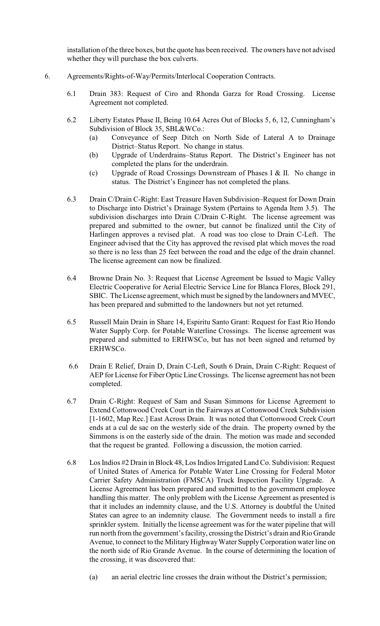installation of the three boxes, but the quote has been received. The owners have not advised whether they will purchase the box culverts.

- 6. Agreements/Rights-of-Way/Permits/Interlocal Cooperation Contracts.
	- 6.1 Drain 383: Request of Ciro and Rhonda Garza for Road Crossing. License Agreement not completed.
	- 6.2 Liberty Estates Phase II, Being 10.64 Acres Out of Blocks 5, 6, 12, Cunningham's Subdivision of Block 35, SBL&WCo.:
		- (a) Conveyance of Seep Ditch on North Side of Lateral A to Drainage District–Status Report. No change in status.
		- (b) Upgrade of Underdrains–Status Report. The District's Engineer has not completed the plans for the underdrain.
		- (c) Upgrade of Road Crossings Downstream of Phases I & II. No change in status. The District's Engineer has not completed the plans.
	- 6.3 Drain C/Drain C-Right: East Treasure Haven Subdivision–Request for Down Drain to Discharge into District's Drainage System (Pertains to Agenda Item 3.5). The subdivision discharges into Drain C/Drain C-Right. The license agreement was prepared and submitted to the owner, but cannot be finalized until the City of Harlingen approves a revised plat. A road was too close to Drain C-Left. The Engineer advised that the City has approved the revised plat which moves the road so there is no less than 25 feet between the road and the edge of the drain channel. The license agreement can now be finalized.
	- 6.4 Browne Drain No. 3: Request that License Agreement be Issued to Magic Valley Electric Cooperative for Aerial Electric Service Line for Blanca Flores, Block 291, SBIC. The License agreement, which must be signed by the landowners and MVEC, has been prepared and submitted to the landowners but not yet returned.
	- 6.5 Russell Main Drain in Share 14, Espiritu Santo Grant: Request for East Rio Hondo Water Supply Corp. for Potable Waterline Crossings. The license agreement was prepared and submitted to ERHWSCo, but has not been signed and returned by ERHWSCo.
	- 6.6 Drain E Relief, Drain D, Drain C-Left, South 6 Drain, Drain C-Right: Request of AEP for License for Fiber Optic Line Crossings. The license agreement has not been completed.
	- 6.7 Drain C-Right: Request of Sam and Susan Simmons for License Agreement to Extend Cottonwood Creek Court in the Fairways at Cottonwood Creek Subdivision [1-1602, Map Rec.] East Across Drain. It was noted that Cottonwood Creek Court ends at a cul de sac on the westerly side of the drain. The property owned by the Simmons is on the easterly side of the drain. The motion was made and seconded that the request be granted. Following a discussion, the motion carried.
	- 6.8 Los Indios #2 Drain in Block 48, LosIndiosIrrigated Land Co. Subdivision: Request of United States of America for Potable Water Line Crossing for Federal Motor Carrier Safety Administration (FMSCA) Truck Inspection Facility Upgrade. A License Agreement has been prepared and submitted to the government employee handling this matter. The only problem with the License Agreement as presented is that it includes an indemnity clause, and the U.S. Attorney is doubtful the United States can agree to an indemnity clause. The Government needs to install a fire sprinkler system. Initially the license agreement was for the water pipeline that will run north from the government's facility, crossing the District's drain and Rio Grande Avenue, to connect to the Military Highway Water Supply Corporation water line on the north side of Rio Grande Avenue. In the course of determining the location of the crossing, it was discovered that:
		- (a) an aerial electric line crosses the drain without the District's permission;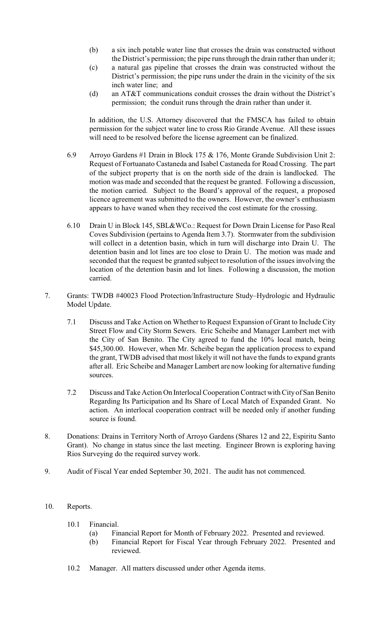- (b) a six inch potable water line that crosses the drain was constructed without the District's permission; the pipe runsthrough the drain rather than under it;
- (c) a natural gas pipeline that crosses the drain was constructed without the District's permission; the pipe runs under the drain in the vicinity of the six inch water line; and
- (d) an AT&T communications conduit crosses the drain without the District's permission; the conduit runs through the drain rather than under it.

In addition, the U.S. Attorney discovered that the FMSCA has failed to obtain permission for the subject water line to cross Rio Grande Avenue. All these issues will need to be resolved before the license agreement can be finalized.

- 6.9 Arroyo Gardens #1 Drain in Block 175 & 176, Monte Grande Subdivision Unit 2: Request of Fortuanato Castaneda and Isabel Castaneda for Road Crossing. The part of the subject property that is on the north side of the drain is landlocked. The motion was made and seconded that the request be granted. Following a discussion, the motion carried. Subject to the Board's approval of the request, a proposed licence agreement was submitted to the owners. However, the owner's enthusiasm appears to have waned when they received the cost estimate for the crossing.
- 6.10 Drain U in Block 145, SBL&WCo.: Request for Down Drain License for Paso Real Coves Subdivision (pertains to Agenda Item 3.7). Stormwater from the subdivision will collect in a detention basin, which in turn will discharge into Drain U. The detention basin and lot lines are too close to Drain U. The motion was made and seconded that the request be granted subject to resolution of the issues involving the location of the detention basin and lot lines. Following a discussion, the motion carried.
- 7. Grants: TWDB #40023 Flood Protection/Infrastructure Study–Hydrologic and Hydraulic Model Update.
	- 7.1 Discuss and Take Action on Whether to Request Expansion of Grant to Include City Street Flow and City Storm Sewers. Eric Scheibe and Manager Lambert met with the City of San Benito. The City agreed to fund the 10% local match, being \$45,300.00. However, when Mr. Scheibe began the application process to expand the grant, TWDB advised that most likely it will not have the funds to expand grants after all. Eric Scheibe and Manager Lambert are now looking for alternative funding sources.
	- 7.2 Discuss and Take Action On Interlocal Cooperation Contract with City of San Benito Regarding Its Participation and Its Share of Local Match of Expanded Grant. No action. An interlocal cooperation contract will be needed only if another funding source is found.
- 8. Donations: Drains in Territory North of Arroyo Gardens (Shares 12 and 22, Espiritu Santo Grant). No change in status since the last meeting. Engineer Brown is exploring having Rios Surveying do the required survey work.
- 9. Audit of Fiscal Year ended September 30, 2021. The audit has not commenced.
- 10. Reports.
	- 10.1 Financial.
		- (a) Financial Report for Month of February 2022. Presented and reviewed.
		- (b) Financial Report for Fiscal Year through February 2022. Presented and reviewed.
	- 10.2 Manager. All matters discussed under other Agenda items.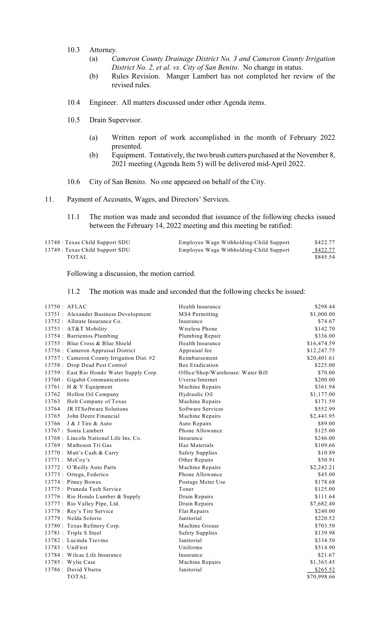- 10.3 Attorney.
	- (a) *Cameron County Drainage District No. 3 and Cameron County Irrigation District No. 2, et al. vs. City of San Benito*. No change in status.
	- (b) Rules Revision. Manger Lambert has not completed her review of the revised rules.
- 10.4 Engineer. All matters discussed under other Agenda items.
- 10.5 Drain Supervisor.
	- (a) Written report of work accomplished in the month of February 2022 presented.
	- (b) Equipment. Tentatively, the two brush cutters purchased at the November 8, 2021 meeting (Agenda Item 5) will be delivered mid-April 2022.
- 10.6 City of San Benito. No one appeared on behalf of the City.
- 11. Payment of Accounts, Wages, and Directors' Services.
	- 11.1 The motion was made and seconded that issuance of the following checks issued between the February 14, 2022 meeting and this meeting be ratified:

| 13748 : Texas Child Support SDU | Employee Wage Withholding-Child Support | \$422.77 |
|---------------------------------|-----------------------------------------|----------|
| 13749 : Texas Child Support SDU | Employee Wage Withholding-Child Support | \$422.77 |
| TOTAL                           |                                         | \$845.54 |

Following a discussion, the motion carried.

11.2 The motion was made and seconded that the following checks be issued:

| $13750$ : AFLAC                            | Health Insurance                  | \$298.44    |
|--------------------------------------------|-----------------------------------|-------------|
| 13751 : Alexander Business Development     | MS4 Permitting                    | \$1,000.00  |
| 13752 : Allstate Insurance Co.             | Insurance                         | \$74.67     |
| 13753: AT&T Mobility                       | Wireless Phone                    | \$142.70    |
| 13754 : Barrientos Plumbing                | Plumbing Repair                   | \$336.00    |
| 13755 : Blue Cross & Blue Shield           | Health Insurance                  | \$16,474.59 |
| 13756 : Cameron Appraisal District         | Appraisal fee                     | \$12,247.75 |
| 13757 : Cameron County Irrigation Dist. #2 | Reimbursement                     | \$20,401.61 |
| 13758 : Drop Dead Pest Control             | <b>Bee Eradication</b>            | \$225.00    |
| 13759 : East Rio Hondo Water Supply Corp.  | Office/Shop/Warehouse: Water Bill | \$70.00     |
| 13760 : Gigabit Communications             | Uverse/Internet                   | \$200.00    |
| 13761 : H & V Equipment                    | Machine Repairs                   | \$361.94    |
| 13762<br>Hollon Oil Company                | Hydraulic Oil                     | \$1,177.00  |
| Holt Company of Texas<br>13763             | Machine Repairs                   | \$171.59    |
| JR ITSoftware Solutions<br>13764           | Software Services                 | \$552.99    |
| 13765<br>John Deere Financial              | Machine Repairs                   | \$2,443.95  |
| 13766<br>J & J Tire & Auto                 | Auto Repairs                      | \$89.00     |
| 13767 : Sonia Lambert                      | Phone Allowance                   | \$125.00    |
| 13768 : Lincoln National Life Ins. Co.     | Insurance                         | \$246.00    |
| 13769 : Matheson Tri Gas                   | Haz Materials                     | \$109.66    |
| 13770 : Matt's Cash & Carry                | <b>Safety Supplies</b>            | \$10.89     |
| 13771 : McCoy's                            | Other Repairs                     | \$50.91     |
| 13772 : O'Reilly Auto Parts                | Machine Repairs                   | \$2,242.21  |
| 13773 : Ortega, Federico                   | Phone Allowance                   | \$45.00     |
| 13774 : Pitney Bowes                       | Postage Meter Use                 | \$178.68    |
| 13775 : Pruneda Tech Service               | Toner                             | \$125.00    |
| 13776 : Rio Hondo Lumber & Supply          | Drain Repairs                     | \$111.64    |
| 13777 : Rio Valley Pipe, Ltd.              | Drain Repairs                     | \$7,682.40  |
| 13778 : Rey's Tire Service                 | Flat Repairs                      | \$240.00    |
| 13779 : Nelda Solorio                      | Janitorial                        | \$220.52    |
| 13780: Texas Refinery Corp.                | Machine Grease                    | \$703.50    |
| 13781 : Triple S Steel                     | <b>Safety Supplies</b>            | \$139.98    |
| 13782 : Lucinda Trevino                    | Janitorial                        | \$334.50    |
| $13783:$ UniFirst                          | Uniforms                          | \$514.90    |
| 13784 : Wilcac Life Insurance              | Insurance                         | \$21.67     |
| 13785 : Wylie Case                         | Machine Repairs                   | \$1,363.45  |
| 13786 : David Ybarra                       | Janitorial                        | \$265.52    |
| <b>TOTAL</b>                               |                                   | \$70,998.66 |